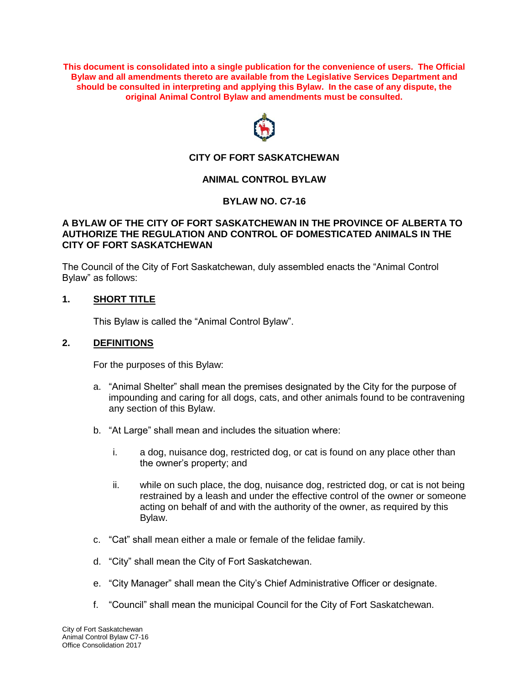**This document is consolidated into a single publication for the convenience of users. The Official Bylaw and all amendments thereto are available from the Legislative Services Department and should be consulted in interpreting and applying this Bylaw. In the case of any dispute, the original Animal Control Bylaw and amendments must be consulted.**



# **CITY OF FORT SASKATCHEWAN**

## **ANIMAL CONTROL BYLAW**

#### **BYLAW NO. C7-16**

#### **A BYLAW OF THE CITY OF FORT SASKATCHEWAN IN THE PROVINCE OF ALBERTA TO AUTHORIZE THE REGULATION AND CONTROL OF DOMESTICATED ANIMALS IN THE CITY OF FORT SASKATCHEWAN**

The Council of the City of Fort Saskatchewan, duly assembled enacts the "Animal Control Bylaw" as follows:

### **1. SHORT TITLE**

This Bylaw is called the "Animal Control Bylaw".

#### **2. DEFINITIONS**

For the purposes of this Bylaw:

- a. "Animal Shelter" shall mean the premises designated by the City for the purpose of impounding and caring for all dogs, cats, and other animals found to be contravening any section of this Bylaw.
- b. "At Large" shall mean and includes the situation where:
	- i. a dog, nuisance dog, restricted dog, or cat is found on any place other than the owner's property; and
	- ii. while on such place, the dog, nuisance dog, restricted dog, or cat is not being restrained by a leash and under the effective control of the owner or someone acting on behalf of and with the authority of the owner, as required by this Bylaw.
- c. "Cat" shall mean either a male or female of the felidae family.
- d. "City" shall mean the City of Fort Saskatchewan.
- e. "City Manager" shall mean the City's Chief Administrative Officer or designate.
- f. "Council" shall mean the municipal Council for the City of Fort Saskatchewan.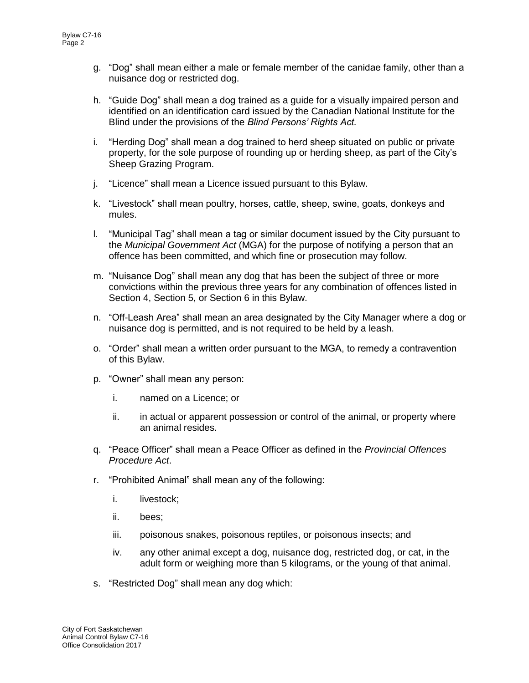- g. "Dog" shall mean either a male or female member of the canidae family, other than a nuisance dog or restricted dog.
- h. "Guide Dog" shall mean a dog trained as a guide for a visually impaired person and identified on an identification card issued by the Canadian National Institute for the Blind under the provisions of the *Blind Persons' Rights Act.*
- i. "Herding Dog" shall mean a dog trained to herd sheep situated on public or private property, for the sole purpose of rounding up or herding sheep, as part of the City's Sheep Grazing Program.
- j. "Licence" shall mean a Licence issued pursuant to this Bylaw.
- k. "Livestock" shall mean poultry, horses, cattle, sheep, swine, goats, donkeys and mules.
- l. "Municipal Tag" shall mean a tag or similar document issued by the City pursuant to the *Municipal Government Act* (MGA) for the purpose of notifying a person that an offence has been committed, and which fine or prosecution may follow.
- m. "Nuisance Dog" shall mean any dog that has been the subject of three or more convictions within the previous three years for any combination of offences listed in Section 4, Section 5, or Section 6 in this Bylaw.
- n. "Off-Leash Area" shall mean an area designated by the City Manager where a dog or nuisance dog is permitted, and is not required to be held by a leash.
- o. "Order" shall mean a written order pursuant to the MGA, to remedy a contravention of this Bylaw.
- p. "Owner" shall mean any person:
	- i. named on a Licence; or
	- ii. in actual or apparent possession or control of the animal, or property where an animal resides.
- q. "Peace Officer" shall mean a Peace Officer as defined in the *Provincial Offences Procedure Act*.
- r. "Prohibited Animal" shall mean any of the following:
	- i. livestock;
	- ii. bees;
	- iii. poisonous snakes, poisonous reptiles, or poisonous insects; and
	- iv. any other animal except a dog, nuisance dog, restricted dog, or cat, in the adult form or weighing more than 5 kilograms, or the young of that animal.
- s. "Restricted Dog" shall mean any dog which: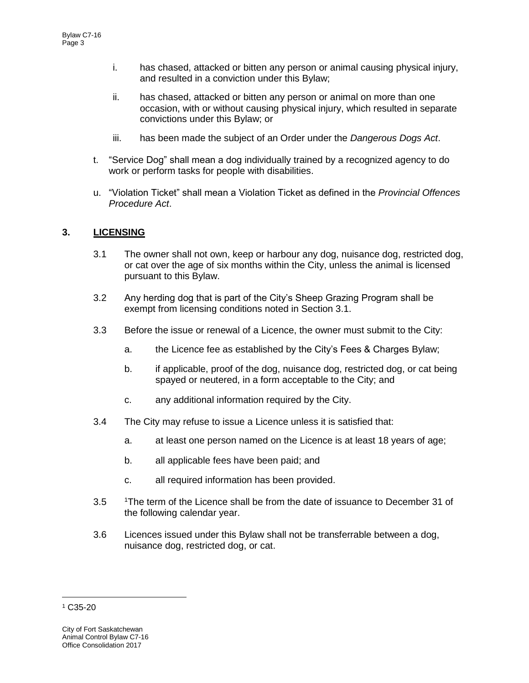- i. has chased, attacked or bitten any person or animal causing physical injury, and resulted in a conviction under this Bylaw;
- ii. has chased, attacked or bitten any person or animal on more than one occasion, with or without causing physical injury, which resulted in separate convictions under this Bylaw; or
- iii. has been made the subject of an Order under the *Dangerous Dogs Act*.
- t. "Service Dog" shall mean a dog individually trained by a recognized agency to do work or perform tasks for people with disabilities.
- u. "Violation Ticket" shall mean a Violation Ticket as defined in the *Provincial Offences Procedure Act*.

# **3. LICENSING**

- 3.1 The owner shall not own, keep or harbour any dog, nuisance dog, restricted dog, or cat over the age of six months within the City, unless the animal is licensed pursuant to this Bylaw.
- 3.2 Any herding dog that is part of the City's Sheep Grazing Program shall be exempt from licensing conditions noted in Section 3.1.
- 3.3 Before the issue or renewal of a Licence, the owner must submit to the City:
	- a. the Licence fee as established by the City's Fees & Charges Bylaw;
	- b. if applicable, proof of the dog, nuisance dog, restricted dog, or cat being spayed or neutered, in a form acceptable to the City; and
	- c. any additional information required by the City.
- 3.4 The City may refuse to issue a Licence unless it is satisfied that:
	- a. at least one person named on the Licence is at least 18 years of age;
	- b. all applicable fees have been paid; and
	- c. all required information has been provided.
- 3.5 <sup>1</sup>The term of the Licence shall be from the date of issuance to December 31 of the following calendar year.
- 3.6 Licences issued under this Bylaw shall not be transferrable between a dog, nuisance dog, restricted dog, or cat.

 $\overline{a}$ 

<sup>1</sup> C35-20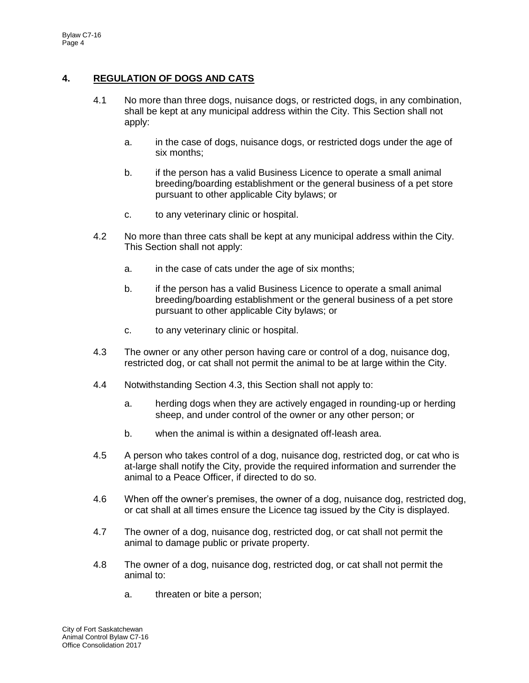# **4. REGULATION OF DOGS AND CATS**

- 4.1 No more than three dogs, nuisance dogs, or restricted dogs, in any combination, shall be kept at any municipal address within the City. This Section shall not apply:
	- a. in the case of dogs, nuisance dogs, or restricted dogs under the age of six months;
	- b. if the person has a valid Business Licence to operate a small animal breeding/boarding establishment or the general business of a pet store pursuant to other applicable City bylaws; or
	- c. to any veterinary clinic or hospital.
- 4.2 No more than three cats shall be kept at any municipal address within the City. This Section shall not apply:
	- a. in the case of cats under the age of six months;
	- b. if the person has a valid Business Licence to operate a small animal breeding/boarding establishment or the general business of a pet store pursuant to other applicable City bylaws; or
	- c. to any veterinary clinic or hospital.
- 4.3 The owner or any other person having care or control of a dog, nuisance dog, restricted dog, or cat shall not permit the animal to be at large within the City.
- 4.4 Notwithstanding Section 4.3, this Section shall not apply to:
	- a. herding dogs when they are actively engaged in rounding-up or herding sheep, and under control of the owner or any other person; or
	- b. when the animal is within a designated off-leash area.
- 4.5 A person who takes control of a dog, nuisance dog, restricted dog, or cat who is at-large shall notify the City, provide the required information and surrender the animal to a Peace Officer, if directed to do so.
- 4.6 When off the owner's premises, the owner of a dog, nuisance dog, restricted dog, or cat shall at all times ensure the Licence tag issued by the City is displayed.
- 4.7 The owner of a dog, nuisance dog, restricted dog, or cat shall not permit the animal to damage public or private property.
- 4.8 The owner of a dog, nuisance dog, restricted dog, or cat shall not permit the animal to:
	- a. threaten or bite a person;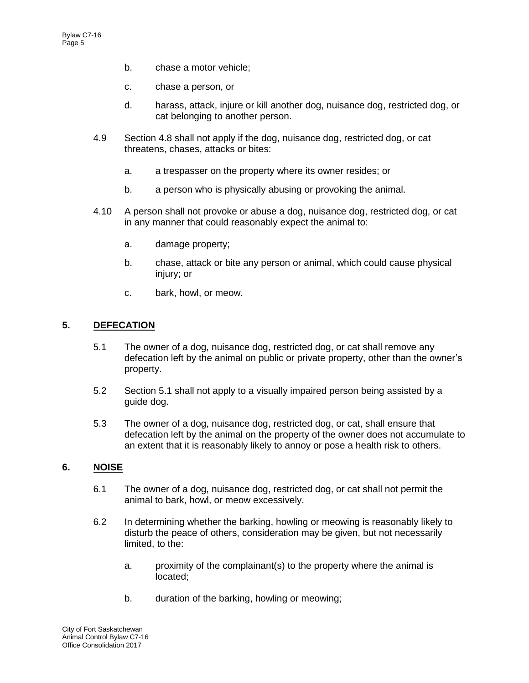- b. chase a motor vehicle;
- c. chase a person, or
- d. harass, attack, injure or kill another dog, nuisance dog, restricted dog, or cat belonging to another person.
- 4.9 Section 4.8 shall not apply if the dog, nuisance dog, restricted dog, or cat threatens, chases, attacks or bites:
	- a. a trespasser on the property where its owner resides; or
	- b. a person who is physically abusing or provoking the animal.
- 4.10 A person shall not provoke or abuse a dog, nuisance dog, restricted dog, or cat in any manner that could reasonably expect the animal to:
	- a. damage property;
	- b. chase, attack or bite any person or animal, which could cause physical injury; or
	- c. bark, howl, or meow.

#### **5. DEFECATION**

- 5.1 The owner of a dog, nuisance dog, restricted dog, or cat shall remove any defecation left by the animal on public or private property, other than the owner's property.
- 5.2 Section 5.1 shall not apply to a visually impaired person being assisted by a guide dog.
- 5.3 The owner of a dog, nuisance dog, restricted dog, or cat, shall ensure that defecation left by the animal on the property of the owner does not accumulate to an extent that it is reasonably likely to annoy or pose a health risk to others.

## **6. NOISE**

- 6.1 The owner of a dog, nuisance dog, restricted dog, or cat shall not permit the animal to bark, howl, or meow excessively.
- 6.2 In determining whether the barking, howling or meowing is reasonably likely to disturb the peace of others, consideration may be given, but not necessarily limited, to the:
	- a. proximity of the complainant(s) to the property where the animal is located;
	- b. duration of the barking, howling or meowing;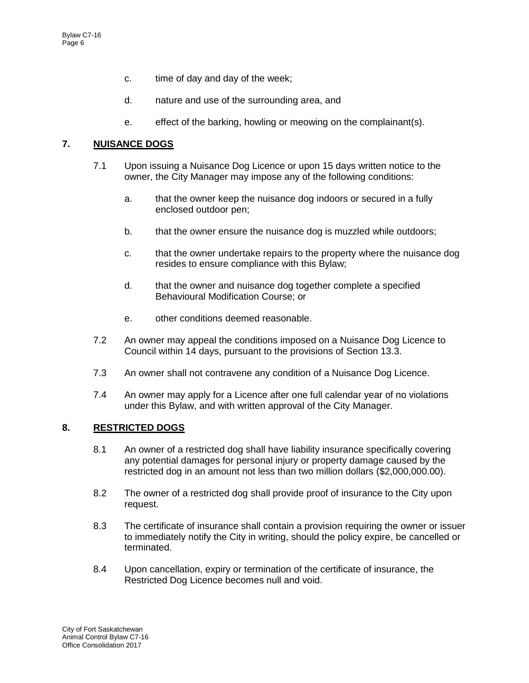- c. time of day and day of the week;
- d. nature and use of the surrounding area, and
- e. effect of the barking, howling or meowing on the complainant(s).

# **7. NUISANCE DOGS**

- 7.1 Upon issuing a Nuisance Dog Licence or upon 15 days written notice to the owner, the City Manager may impose any of the following conditions:
	- a. that the owner keep the nuisance dog indoors or secured in a fully enclosed outdoor pen;
	- b. that the owner ensure the nuisance dog is muzzled while outdoors;
	- c. that the owner undertake repairs to the property where the nuisance dog resides to ensure compliance with this Bylaw;
	- d. that the owner and nuisance dog together complete a specified Behavioural Modification Course; or
	- e. other conditions deemed reasonable.
- 7.2 An owner may appeal the conditions imposed on a Nuisance Dog Licence to Council within 14 days, pursuant to the provisions of Section 13.3.
- 7.3 An owner shall not contravene any condition of a Nuisance Dog Licence.
- 7.4 An owner may apply for a Licence after one full calendar year of no violations under this Bylaw, and with written approval of the City Manager.

## **8. RESTRICTED DOGS**

- 8.1 An owner of a restricted dog shall have liability insurance specifically covering any potential damages for personal injury or property damage caused by the restricted dog in an amount not less than two million dollars (\$2,000,000.00).
- 8.2 The owner of a restricted dog shall provide proof of insurance to the City upon request.
- 8.3 The certificate of insurance shall contain a provision requiring the owner or issuer to immediately notify the City in writing, should the policy expire, be cancelled or terminated.
- 8.4 Upon cancellation, expiry or termination of the certificate of insurance, the Restricted Dog Licence becomes null and void.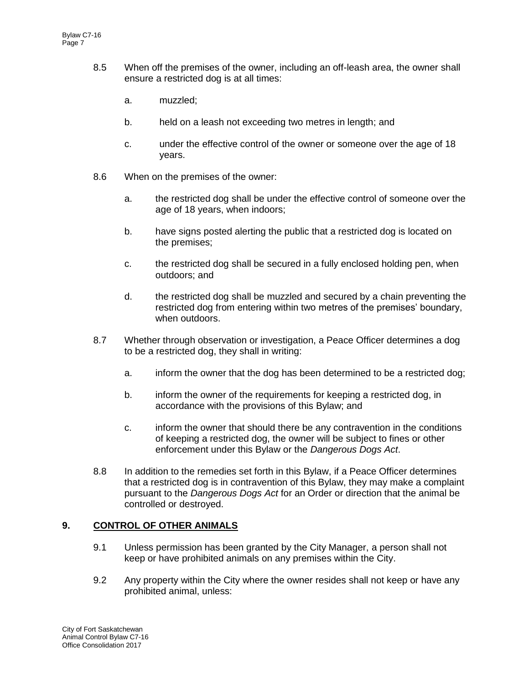- 8.5 When off the premises of the owner, including an off-leash area, the owner shall ensure a restricted dog is at all times:
	- a. muzzled;
	- b. held on a leash not exceeding two metres in length; and
	- c. under the effective control of the owner or someone over the age of 18 years.
- 8.6 When on the premises of the owner:
	- a. the restricted dog shall be under the effective control of someone over the age of 18 years, when indoors;
	- b. have signs posted alerting the public that a restricted dog is located on the premises;
	- c. the restricted dog shall be secured in a fully enclosed holding pen, when outdoors; and
	- d. the restricted dog shall be muzzled and secured by a chain preventing the restricted dog from entering within two metres of the premises' boundary, when outdoors.
- 8.7 Whether through observation or investigation, a Peace Officer determines a dog to be a restricted dog, they shall in writing:
	- a. inform the owner that the dog has been determined to be a restricted dog;
	- b. inform the owner of the requirements for keeping a restricted dog, in accordance with the provisions of this Bylaw; and
	- c. inform the owner that should there be any contravention in the conditions of keeping a restricted dog, the owner will be subject to fines or other enforcement under this Bylaw or the *Dangerous Dogs Act*.
- 8.8 In addition to the remedies set forth in this Bylaw, if a Peace Officer determines that a restricted dog is in contravention of this Bylaw, they may make a complaint pursuant to the *Dangerous Dogs Act* for an Order or direction that the animal be controlled or destroyed.

## **9. CONTROL OF OTHER ANIMALS**

- 9.1 Unless permission has been granted by the City Manager, a person shall not keep or have prohibited animals on any premises within the City.
- 9.2 Any property within the City where the owner resides shall not keep or have any prohibited animal, unless: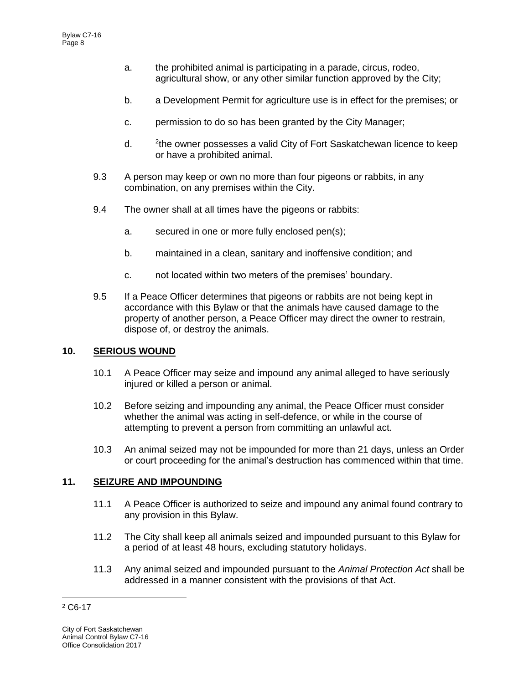- a. the prohibited animal is participating in a parade, circus, rodeo, agricultural show, or any other similar function approved by the City;
- b. a Development Permit for agriculture use is in effect for the premises; or
- c. permission to do so has been granted by the City Manager;
- $d_{\cdot}$ <sup>2</sup>the owner possesses a valid City of Fort Saskatchewan licence to keep or have a prohibited animal.
- 9.3 A person may keep or own no more than four pigeons or rabbits, in any combination, on any premises within the City.
- 9.4 The owner shall at all times have the pigeons or rabbits:
	- a. secured in one or more fully enclosed pen(s);
	- b. maintained in a clean, sanitary and inoffensive condition; and
	- c. not located within two meters of the premises' boundary.
- 9.5 If a Peace Officer determines that pigeons or rabbits are not being kept in accordance with this Bylaw or that the animals have caused damage to the property of another person, a Peace Officer may direct the owner to restrain, dispose of, or destroy the animals.

## **10. SERIOUS WOUND**

- 10.1 A Peace Officer may seize and impound any animal alleged to have seriously injured or killed a person or animal.
- 10.2 Before seizing and impounding any animal, the Peace Officer must consider whether the animal was acting in self-defence, or while in the course of attempting to prevent a person from committing an unlawful act.
- 10.3 An animal seized may not be impounded for more than 21 days, unless an Order or court proceeding for the animal's destruction has commenced within that time.

## **11. SEIZURE AND IMPOUNDING**

- 11.1 A Peace Officer is authorized to seize and impound any animal found contrary to any provision in this Bylaw.
- 11.2 The City shall keep all animals seized and impounded pursuant to this Bylaw for a period of at least 48 hours, excluding statutory holidays.
- 11.3 Any animal seized and impounded pursuant to the *Animal Protection Act* shall be addressed in a manner consistent with the provisions of that Act.

 $\overline{a}$ <sup>2</sup> C6-17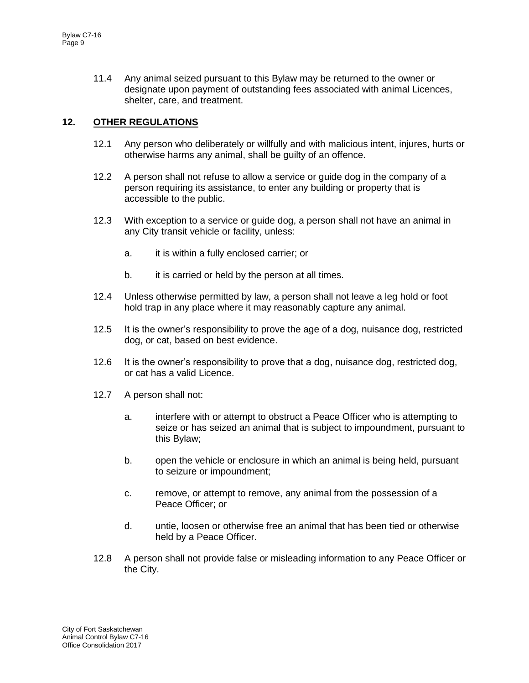11.4 Any animal seized pursuant to this Bylaw may be returned to the owner or designate upon payment of outstanding fees associated with animal Licences, shelter, care, and treatment.

# **12. OTHER REGULATIONS**

- 12.1 Any person who deliberately or willfully and with malicious intent, injures, hurts or otherwise harms any animal, shall be guilty of an offence.
- 12.2 A person shall not refuse to allow a service or guide dog in the company of a person requiring its assistance, to enter any building or property that is accessible to the public.
- 12.3 With exception to a service or guide dog, a person shall not have an animal in any City transit vehicle or facility, unless:
	- a. it is within a fully enclosed carrier; or
	- b. it is carried or held by the person at all times.
- 12.4 Unless otherwise permitted by law, a person shall not leave a leg hold or foot hold trap in any place where it may reasonably capture any animal.
- 12.5 It is the owner's responsibility to prove the age of a dog, nuisance dog, restricted dog, or cat, based on best evidence.
- 12.6 It is the owner's responsibility to prove that a dog, nuisance dog, restricted dog, or cat has a valid Licence.
- 12.7 A person shall not:
	- a. interfere with or attempt to obstruct a Peace Officer who is attempting to seize or has seized an animal that is subject to impoundment, pursuant to this Bylaw;
	- b. open the vehicle or enclosure in which an animal is being held, pursuant to seizure or impoundment;
	- c. remove, or attempt to remove, any animal from the possession of a Peace Officer; or
	- d. untie, loosen or otherwise free an animal that has been tied or otherwise held by a Peace Officer.
- 12.8 A person shall not provide false or misleading information to any Peace Officer or the City.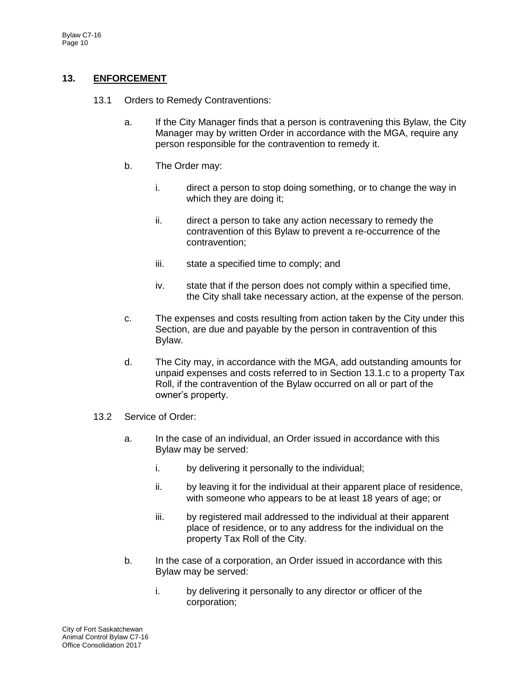# **13. ENFORCEMENT**

- 13.1 Orders to Remedy Contraventions:
	- a. If the City Manager finds that a person is contravening this Bylaw, the City Manager may by written Order in accordance with the MGA, require any person responsible for the contravention to remedy it.
	- b. The Order may:
		- i. direct a person to stop doing something, or to change the way in which they are doing it;
		- ii. direct a person to take any action necessary to remedy the contravention of this Bylaw to prevent a re-occurrence of the contravention;
		- iii. state a specified time to comply; and
		- iv. state that if the person does not comply within a specified time, the City shall take necessary action, at the expense of the person.
	- c. The expenses and costs resulting from action taken by the City under this Section, are due and payable by the person in contravention of this Bylaw.
	- d. The City may, in accordance with the MGA, add outstanding amounts for unpaid expenses and costs referred to in Section 13.1.c to a property Tax Roll, if the contravention of the Bylaw occurred on all or part of the owner's property.
- 13.2 Service of Order:
	- a. In the case of an individual, an Order issued in accordance with this Bylaw may be served:
		- i. by delivering it personally to the individual;
		- ii. by leaving it for the individual at their apparent place of residence, with someone who appears to be at least 18 years of age; or
		- iii. by registered mail addressed to the individual at their apparent place of residence, or to any address for the individual on the property Tax Roll of the City.
	- b. In the case of a corporation, an Order issued in accordance with this Bylaw may be served:
		- i. by delivering it personally to any director or officer of the corporation;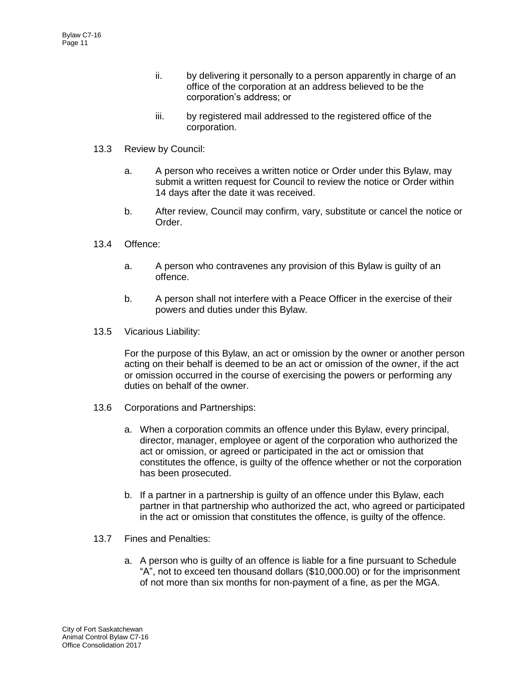- ii. by delivering it personally to a person apparently in charge of an office of the corporation at an address believed to be the corporation's address; or
- iii. by registered mail addressed to the registered office of the corporation.
- 13.3 Review by Council:
	- a. A person who receives a written notice or Order under this Bylaw, may submit a written request for Council to review the notice or Order within 14 days after the date it was received.
	- b. After review, Council may confirm, vary, substitute or cancel the notice or Order.
- 13.4 Offence:
	- a. A person who contravenes any provision of this Bylaw is guilty of an offence.
	- b. A person shall not interfere with a Peace Officer in the exercise of their powers and duties under this Bylaw.
- 13.5 Vicarious Liability:

For the purpose of this Bylaw, an act or omission by the owner or another person acting on their behalf is deemed to be an act or omission of the owner, if the act or omission occurred in the course of exercising the powers or performing any duties on behalf of the owner.

- 13.6 Corporations and Partnerships:
	- a. When a corporation commits an offence under this Bylaw, every principal, director, manager, employee or agent of the corporation who authorized the act or omission, or agreed or participated in the act or omission that constitutes the offence, is guilty of the offence whether or not the corporation has been prosecuted.
	- b. If a partner in a partnership is guilty of an offence under this Bylaw, each partner in that partnership who authorized the act, who agreed or participated in the act or omission that constitutes the offence, is guilty of the offence.
- 13.7 Fines and Penalties:
	- a. A person who is guilty of an offence is liable for a fine pursuant to Schedule "A", not to exceed ten thousand dollars (\$10,000.00) or for the imprisonment of not more than six months for non-payment of a fine, as per the MGA.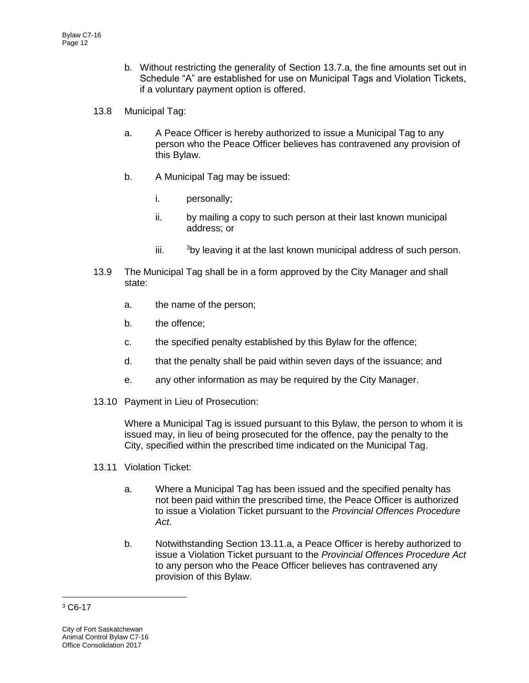- b. Without restricting the generality of Section 13.7.a, the fine amounts set out in Schedule "A" are established for use on Municipal Tags and Violation Tickets, if a voluntary payment option is offered.
- 13.8 Municipal Tag:
	- a. A Peace Officer is hereby authorized to issue a Municipal Tag to any person who the Peace Officer believes has contravened any provision of this Bylaw.
	- b. A Municipal Tag may be issued:
		- i. personally;
		- ii. by mailing a copy to such person at their last known municipal address; or
		- iii.  $3$ by leaving it at the last known municipal address of such person.
- 13.9 The Municipal Tag shall be in a form approved by the City Manager and shall state:
	- a. the name of the person;
	- b. the offence;
	- c. the specified penalty established by this Bylaw for the offence;
	- d. that the penalty shall be paid within seven days of the issuance; and
	- e. any other information as may be required by the City Manager.
- 13.10 Payment in Lieu of Prosecution:

Where a Municipal Tag is issued pursuant to this Bylaw, the person to whom it is issued may, in lieu of being prosecuted for the offence, pay the penalty to the City, specified within the prescribed time indicated on the Municipal Tag.

- 13.11 Violation Ticket:
	- a. Where a Municipal Tag has been issued and the specified penalty has not been paid within the prescribed time, the Peace Officer is authorized to issue a Violation Ticket pursuant to the *Provincial Offences Procedure Act*.
	- b. Notwithstanding Section 13.11.a, a Peace Officer is hereby authorized to issue a Violation Ticket pursuant to the *Provincial Offences Procedure Act* to any person who the Peace Officer believes has contravened any provision of this Bylaw.

 $\overline{a}$ 

<sup>3</sup> C6-17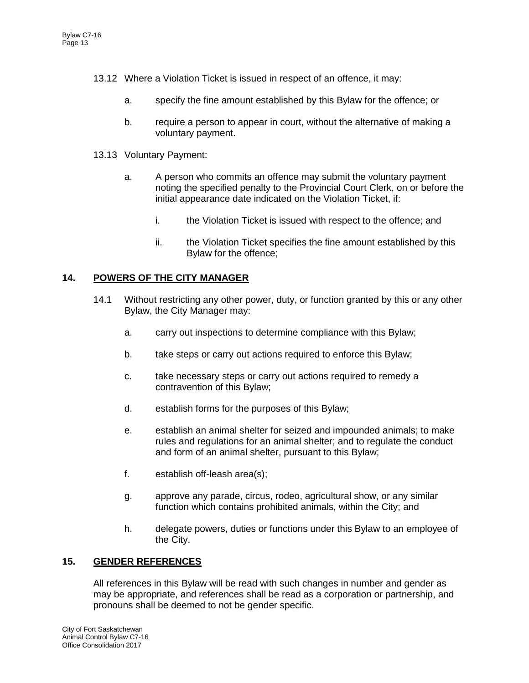- 13.12 Where a Violation Ticket is issued in respect of an offence, it may:
	- a. specify the fine amount established by this Bylaw for the offence; or
	- b. require a person to appear in court, without the alternative of making a voluntary payment.
- 13.13 Voluntary Payment:
	- a. A person who commits an offence may submit the voluntary payment noting the specified penalty to the Provincial Court Clerk, on or before the initial appearance date indicated on the Violation Ticket, if:
		- i. the Violation Ticket is issued with respect to the offence; and
		- ii. the Violation Ticket specifies the fine amount established by this Bylaw for the offence;

# **14. POWERS OF THE CITY MANAGER**

- 14.1 Without restricting any other power, duty, or function granted by this or any other Bylaw, the City Manager may:
	- a. carry out inspections to determine compliance with this Bylaw;
	- b. take steps or carry out actions required to enforce this Bylaw;
	- c. take necessary steps or carry out actions required to remedy a contravention of this Bylaw;
	- d. establish forms for the purposes of this Bylaw;
	- e. establish an animal shelter for seized and impounded animals; to make rules and regulations for an animal shelter; and to regulate the conduct and form of an animal shelter, pursuant to this Bylaw;
	- f. establish off-leash area(s);
	- g. approve any parade, circus, rodeo, agricultural show, or any similar function which contains prohibited animals, within the City; and
	- h. delegate powers, duties or functions under this Bylaw to an employee of the City.

## **15. GENDER REFERENCES**

All references in this Bylaw will be read with such changes in number and gender as may be appropriate, and references shall be read as a corporation or partnership, and pronouns shall be deemed to not be gender specific.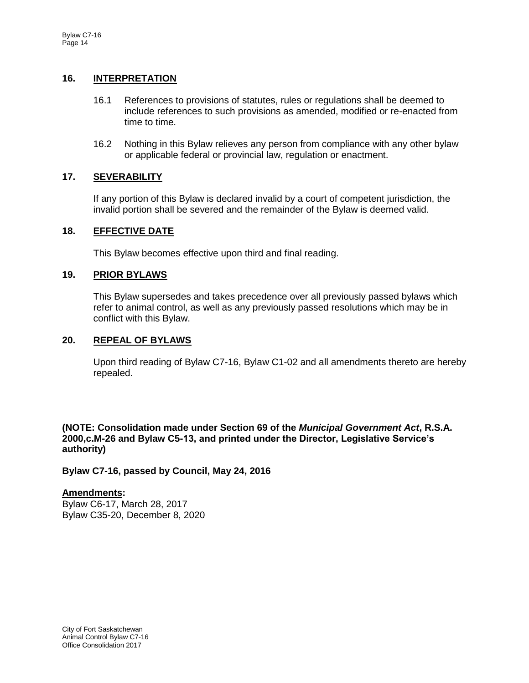## **16. INTERPRETATION**

- 16.1 References to provisions of statutes, rules or regulations shall be deemed to include references to such provisions as amended, modified or re-enacted from time to time.
- 16.2 Nothing in this Bylaw relieves any person from compliance with any other bylaw or applicable federal or provincial law, regulation or enactment.

## **17. SEVERABILITY**

If any portion of this Bylaw is declared invalid by a court of competent jurisdiction, the invalid portion shall be severed and the remainder of the Bylaw is deemed valid.

#### **18. EFFECTIVE DATE**

This Bylaw becomes effective upon third and final reading.

#### **19. PRIOR BYLAWS**

This Bylaw supersedes and takes precedence over all previously passed bylaws which refer to animal control, as well as any previously passed resolutions which may be in conflict with this Bylaw.

#### **20. REPEAL OF BYLAWS**

Upon third reading of Bylaw C7-16, Bylaw C1-02 and all amendments thereto are hereby repealed.

**(NOTE: Consolidation made under Section 69 of the** *Municipal Government Act***, R.S.A. 2000,c.M-26 and Bylaw C5-13, and printed under the Director, Legislative Service's authority)**

**Bylaw C7-16, passed by Council, May 24, 2016**

#### **Amendments:**

Bylaw C6-17, March 28, 2017 Bylaw C35-20, December 8, 2020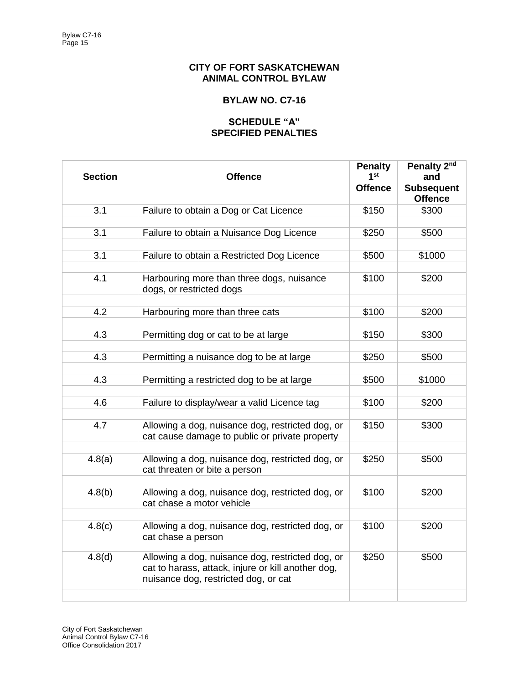## **CITY OF FORT SASKATCHEWAN ANIMAL CONTROL BYLAW**

# **BYLAW NO. C7-16**

## **SCHEDULE "A" SPECIFIED PENALTIES**

| <b>Section</b> | <b>Offence</b>                                                                                                                                 | <b>Penalty</b><br>1st<br><b>Offence</b> | Penalty 2nd<br>and<br><b>Subsequent</b><br><b>Offence</b> |
|----------------|------------------------------------------------------------------------------------------------------------------------------------------------|-----------------------------------------|-----------------------------------------------------------|
| 3.1            | Failure to obtain a Dog or Cat Licence                                                                                                         | \$150                                   | \$300                                                     |
|                |                                                                                                                                                |                                         |                                                           |
| 3.1            | Failure to obtain a Nuisance Dog Licence                                                                                                       | \$250                                   | \$500                                                     |
| 3.1            | Failure to obtain a Restricted Dog Licence                                                                                                     | \$500                                   | \$1000                                                    |
|                |                                                                                                                                                |                                         |                                                           |
| 4.1            | Harbouring more than three dogs, nuisance<br>dogs, or restricted dogs                                                                          | \$100                                   | \$200                                                     |
| 4.2            | Harbouring more than three cats                                                                                                                | \$100                                   | \$200                                                     |
|                |                                                                                                                                                |                                         |                                                           |
| 4.3            | Permitting dog or cat to be at large                                                                                                           | \$150                                   | \$300                                                     |
|                |                                                                                                                                                |                                         |                                                           |
| 4.3            | Permitting a nuisance dog to be at large                                                                                                       | \$250                                   | \$500                                                     |
| 4.3            | Permitting a restricted dog to be at large                                                                                                     | \$500                                   | \$1000                                                    |
|                |                                                                                                                                                |                                         |                                                           |
| 4.6            | Failure to display/wear a valid Licence tag                                                                                                    | \$100                                   | \$200                                                     |
|                |                                                                                                                                                |                                         |                                                           |
| 4.7            | Allowing a dog, nuisance dog, restricted dog, or<br>cat cause damage to public or private property                                             | \$150                                   | \$300                                                     |
|                |                                                                                                                                                |                                         |                                                           |
| 4.8(a)         | Allowing a dog, nuisance dog, restricted dog, or<br>cat threaten or bite a person                                                              | \$250                                   | \$500                                                     |
|                |                                                                                                                                                |                                         |                                                           |
| 4.8(b)         | Allowing a dog, nuisance dog, restricted dog, or<br>cat chase a motor vehicle                                                                  | \$100                                   | \$200                                                     |
|                |                                                                                                                                                |                                         |                                                           |
| 4.8(c)         | Allowing a dog, nuisance dog, restricted dog, or<br>cat chase a person                                                                         | \$100                                   | \$200                                                     |
| 4.8(d)         | Allowing a dog, nuisance dog, restricted dog, or<br>cat to harass, attack, injure or kill another dog,<br>nuisance dog, restricted dog, or cat | \$250                                   | \$500                                                     |
|                |                                                                                                                                                |                                         |                                                           |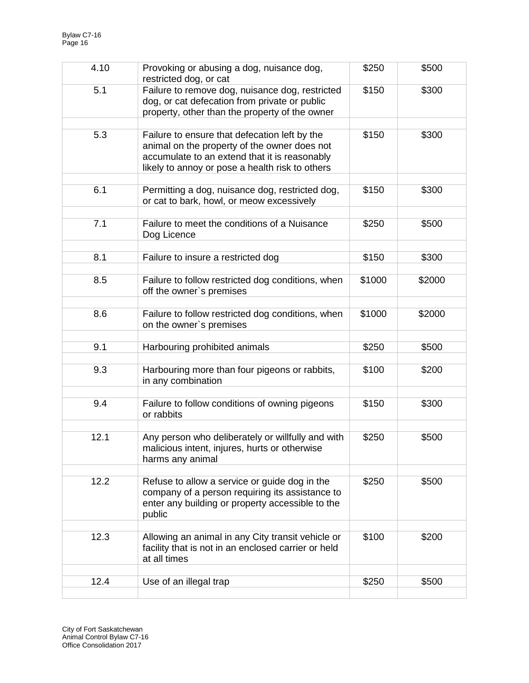| 4.10 | Provoking or abusing a dog, nuisance dog,<br>restricted dog, or cat                                                                                                                               | \$250  | \$500  |
|------|---------------------------------------------------------------------------------------------------------------------------------------------------------------------------------------------------|--------|--------|
| 5.1  | Failure to remove dog, nuisance dog, restricted<br>dog, or cat defecation from private or public<br>property, other than the property of the owner                                                | \$150  | \$300  |
| 5.3  | Failure to ensure that defecation left by the<br>animal on the property of the owner does not<br>accumulate to an extend that it is reasonably<br>likely to annoy or pose a health risk to others | \$150  | \$300  |
| 6.1  | Permitting a dog, nuisance dog, restricted dog,<br>or cat to bark, howl, or meow excessively                                                                                                      | \$150  | \$300  |
| 7.1  | Failure to meet the conditions of a Nuisance<br>Dog Licence                                                                                                                                       | \$250  | \$500  |
| 8.1  | Failure to insure a restricted dog                                                                                                                                                                | \$150  | \$300  |
| 8.5  | Failure to follow restricted dog conditions, when<br>off the owner's premises                                                                                                                     | \$1000 | \$2000 |
| 8.6  | Failure to follow restricted dog conditions, when<br>on the owner's premises                                                                                                                      | \$1000 | \$2000 |
| 9.1  | Harbouring prohibited animals                                                                                                                                                                     | \$250  | \$500  |
| 9.3  | Harbouring more than four pigeons or rabbits,<br>in any combination                                                                                                                               | \$100  | \$200  |
| 9.4  | Failure to follow conditions of owning pigeons<br>or rabbits                                                                                                                                      | \$150  | \$300  |
| 12.1 | Any person who deliberately or willfully and with<br>malicious intent, injures, hurts or otherwise<br>harms any animal                                                                            | \$250  | \$500  |
| 12.2 | Refuse to allow a service or guide dog in the<br>company of a person requiring its assistance to<br>enter any building or property accessible to the<br>public                                    | \$250  | \$500  |
| 12.3 | Allowing an animal in any City transit vehicle or<br>facility that is not in an enclosed carrier or held<br>at all times                                                                          | \$100  | \$200  |
| 12.4 | Use of an illegal trap                                                                                                                                                                            | \$250  | \$500  |